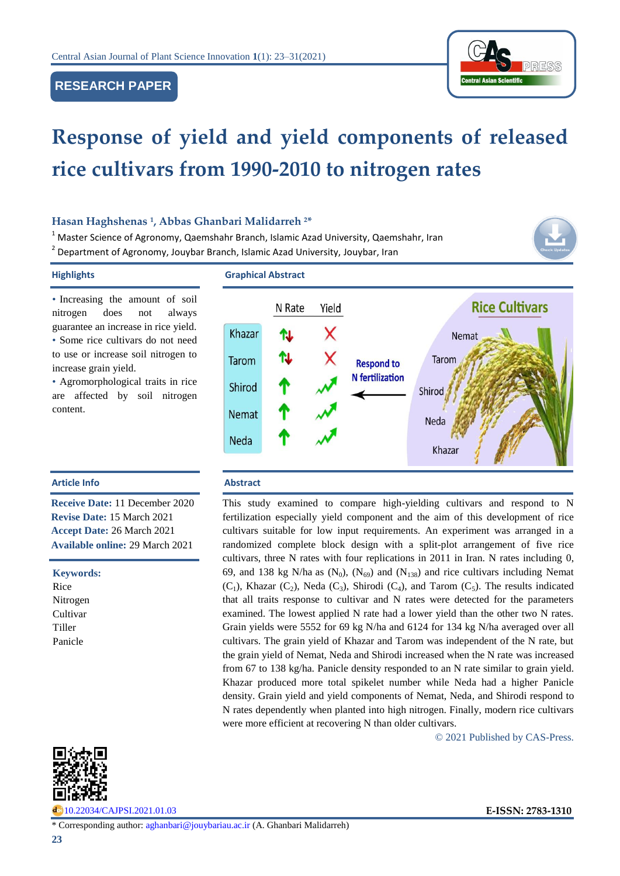# **RESEARCH PAPER**



# **Response of yield and yield components of released rice cultivars from 1990-2010 to nitrogen rates**

## **Hasan Haghshenas <sup>1</sup> , Abbas Ghanbari Malidarreh <sup>2</sup>\***

 $1$  Master Science of Agronomy, Qaemshahr Branch, Islamic Azad University, Qaemshahr, Iran <sup>2</sup> Department of Agronomy, Jouybar Branch, Islamic Azad University, Jouybar, Iran

• Increasing the amount of soil nitrogen does not always guarantee an increase in rice yield. • Some rice cultivars do not need to use or increase soil nitrogen to increase grain yield.

• Agromorphological traits in rice are affected by soil nitrogen content.

**Receive Date:** 11 December 2020 **Revise Date:** 15 March 2021 **Accept Date:** 26 March 2021 **Available online:** 29 March 2021

# **Highlights Graphical Abstract**



### **Article Info Abstract**

This study examined to compare high-yielding cultivars and respond to N fertilization especially yield component and the aim of this development of rice cultivars suitable for low input requirements. An experiment was arranged in a randomized complete block design with a split-plot arrangement of five rice cultivars, three N rates with four replications in 2011 in Iran. N rates including 0, 69, and 138 kg N/ha as  $(N_0)$ ,  $(N_{69})$  and  $(N_{138})$  and rice cultivars including Nemat  $(C_1)$ , Khazar  $(C_2)$ , Neda  $(C_3)$ , Shirodi  $(C_4)$ , and Tarom  $(C_5)$ . The results indicated that all traits response to cultivar and N rates were detected for the parameters examined. The lowest applied N rate had a lower yield than the other two N rates. Grain yields were 5552 for 69 kg N/ha and 6124 for 134 kg N/ha averaged over all cultivars. The grain yield of Khazar and Tarom was independent of the N rate, but the grain yield of Nemat, Neda and Shirodi increased when the N rate was increased from 67 to 138 kg/ha. Panicle density responded to an N rate similar to grain yield. Khazar produced more total spikelet number while Neda had a higher Panicle density. Grain yield and yield components of Nemat, Neda, and Shirodi respond to N rates dependently when planted into high nitrogen. Finally, modern rice cultivars were more efficient at recovering N than older cultivars.

© 2021 Published by CAS-Press.



**Keywords:** Rice Nitrogen Cultivar Tiller Panicle

[10.22034/CAJPSI.2021.01.03](http://www.cajpsi.com/article_128594.html) **E-ISSN: 2783-1310**

\* Corresponding author: [aghanbari@jouybariau.ac.ir](mailto:aghanbari@jouybariau.ac.ir) (A. Ghanbari Malidarreh)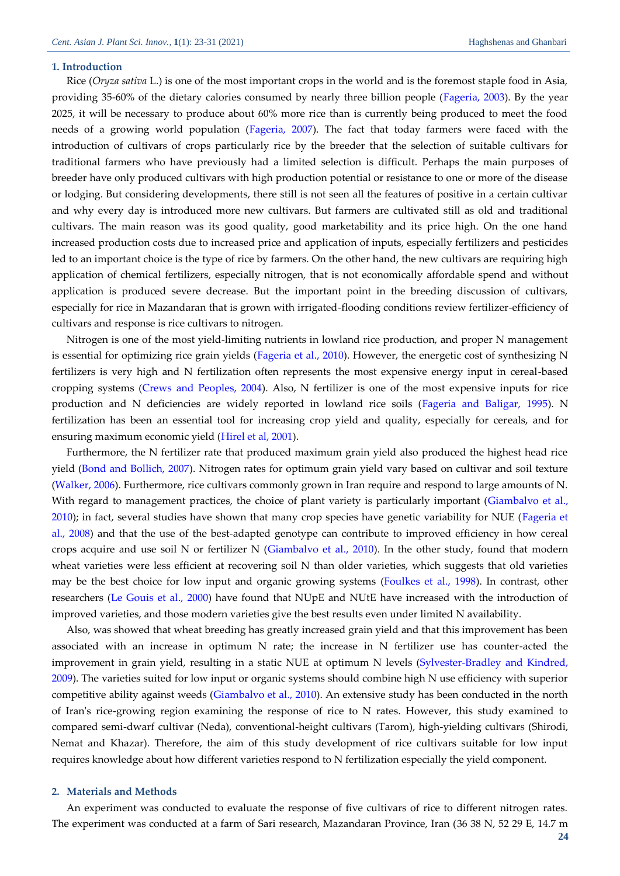#### **1. Introduction**

Rice (*Oryza sativa* L.) is one of the most important crops in the world and is the foremost staple food in Asia, providing 35-60% of the dietary calories consumed by nearly three billion people [\(Fageria, 2003\)](#page-7-0). By the year 2025, it will be necessary to produce about 60% more rice than is currently being produced to meet the food needs of a growing world population [\(Fageria, 2007\)](#page-7-1). The fact that today farmers were faced with the introduction of cultivars of crops particularly rice by the breeder that the selection of suitable cultivars for traditional farmers who have previously had a limited selection is difficult. Perhaps the main purposes of breeder have only produced cultivars with high production potential or resistance to one or more of the disease or lodging. But considering developments, there still is not seen all the features of positive in a certain cultivar and why every day is introduced more new cultivars. But farmers are cultivated still as old and traditional cultivars. The main reason was its good quality, good marketability and its price high. On the one hand increased production costs due to increased price and application of inputs, especially fertilizers and pesticides led to an important choice is the type of rice by farmers. On the other hand, the new cultivars are requiring high application of chemical fertilizers, especially nitrogen, that is not economically affordable spend and without application is produced severe decrease. But the important point in the breeding discussion of cultivars, especially for rice in Mazandaran that is grown with irrigated-flooding conditions review fertilizer-efficiency of cultivars and response is rice cultivars to nitrogen.

Nitrogen is one of the most yield-limiting nutrients in lowland rice production, and proper N management is essential for optimizing rice grain yields [\(Fageria et al., 2010\)](#page-7-2). However, the energetic cost of synthesizing N fertilizers is very high and N fertilization often represents the most expensive energy input in cereal-based cropping systems [\(Crews and Peoples, 2004\)](#page-7-3). Also, N fertilizer is one of the most expensive inputs for rice production and N deficiencies are widely reported in lowland rice soils [\(Fageria and Baligar, 1995\)](#page-7-4). N fertilization has been an essential tool for increasing crop yield and quality, especially for cereals, and for ensuring maximum economic yield [\(Hirel et al, 2001\)](#page-7-5).

Furthermore, the N fertilizer rate that produced maximum grain yield also produced the highest head rice yield [\(Bond and Bollich, 2007\)](#page-7-6). Nitrogen rates for optimum grain yield vary based on cultivar and soil texture [\(Walker, 2006\)](#page-8-0). Furthermore, rice cultivars commonly grown in Iran require and respond to large amounts of N. With regard to management practices, the choice of plant variety is particularly important (Giambalvo et al., [2010\)](#page-7-7); in fact, several studies have shown that many crop species have genetic variability for NUE (Fageria et [al., 2008\)](#page-7-8) and that the use of the best-adapted genotype can contribute to improved efficiency in how cereal crops acquire and use soil N or fertilizer N [\(Giambalvo et al., 2010\)](#page-7-7). In the other study, found that modern wheat varieties were less efficient at recovering soil N than older varieties, which suggests that old varieties may be the best choice for low input and organic growing systems [\(Foulkes et al., 1998\)](#page-7-9). In contrast, other researchers (Le Gouis [et al., 2000\)](#page-7-10) have found that NUpE and NUtE have increased with the introduction of improved varieties, and those modern varieties give the best results even under limited N availability.

Also, was showed that wheat breeding has greatly increased grain yield and that this improvement has been associated with an increase in optimum N rate; the increase in N fertilizer use has counter-acted the improvement in grain yield, resulting in a static NUE at optimum N levels [\(Sylvester-Bradley and Kindred,](#page-8-1)  [2009\)](#page-8-1). The varieties suited for low input or organic systems should combine high N use efficiency with superior competitive ability against weeds [\(Giambalvo et al., 2010\)](#page-7-7). An extensive study has been conducted in the north of Iran's rice-growing region examining the response of rice to N rates. However, this study examined to compared semi-dwarf cultivar (Neda), conventional-height cultivars (Tarom), high-yielding cultivars (Shirodi, Nemat and Khazar). Therefore, the aim of this study development of rice cultivars suitable for low input requires knowledge about how different varieties respond to N fertilization especially the yield component.

#### **2. Materials and Methods**

An experiment was conducted to evaluate the response of five cultivars of rice to different nitrogen rates. The experiment was conducted at a farm of Sari research, Mazandaran Province, Iran (36 38 N, 52 29 E, 14.7 m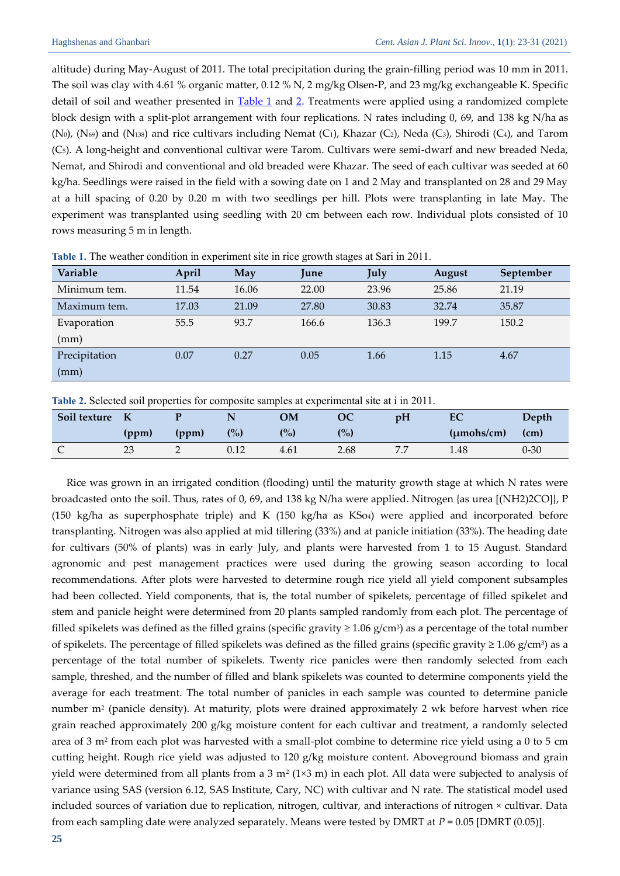altitude) during May-August of 2011. The total precipitation during the grain-filling period was 10 mm in 2011. The soil was clay with 4.61 % organic matter, 0.12 % N, 2 mg/kg Olsen-P, and 23 mg/kg exchangeable K. Specific detail of soil and weather presented in [Table 1](#page-2-0) and [2.](#page-2-1) Treatments were applied using a randomized complete block design with a split-plot arrangement with four replications. N rates including 0, 69, and 138 kg N/ha as (N<sub>0</sub>), (N<sub>69</sub>) and (N<sub>138</sub>) and rice cultivars including Nemat (C<sub>1</sub>), Khazar (C<sub>2</sub>), Neda (C<sub>3</sub>), Shirodi (C<sub>4</sub>), and Tarom (C5). A long-height and conventional cultivar were Tarom. Cultivars were semi-dwarf and new breaded Neda, Nemat, and Shirodi and conventional and old breaded were Khazar. The seed of each cultivar was seeded at 60 kg/ha. Seedlings were raised in the field with a sowing date on 1 and 2 May and transplanted on 28 and 29 May at a hill spacing of 0.20 by 0.20 m with two seedlings per hill. Plots were transplanting in late May. The experiment was transplanted using seedling with 20 cm between each row. Individual plots consisted of 10 rows measuring 5 m in length.

| Variable      | April | May   | June  | July  | August | September |
|---------------|-------|-------|-------|-------|--------|-----------|
| Minimum tem.  | 11.54 | 16.06 | 22.00 | 23.96 | 25.86  | 21.19     |
| Maximum tem.  | 17.03 | 21.09 | 27.80 | 30.83 | 32.74  | 35.87     |
| Evaporation   | 55.5  | 93.7  | 166.6 | 136.3 | 199.7  | 150.2     |
| (mm)          |       |       |       |       |        |           |
| Precipitation | 0.07  | 0.27  | 0.05  | 1.66  | 1.15   | 4.67      |
| (mm)          |       |       |       |       |        |           |

<span id="page-2-0"></span>**Table 1.** The weather condition in experiment site in rice growth stages at Sari in 2011.

<span id="page-2-1"></span>**Table 2.** Selected soil properties for composite samples at experimental site at i in 2011.

| Soil texture |          |       |                   | OМ    |                   | p <sub>H</sub> | EC                     | Depth    |
|--------------|----------|-------|-------------------|-------|-------------------|----------------|------------------------|----------|
|              | (ppm)    | (ppm) | (° <sub>o</sub> ) | (0/0) | (° <sub>o</sub> ) |                | $(\mu \text{mohs/cm})$ | (cm)     |
|              | າາ<br>∠∪ |       | 0.12              | 4.61  | 2.68              | 7 F            | 1.48                   | $0 - 30$ |

Rice was grown in an irrigated condition (flooding) until the maturity growth stage at which N rates were broadcasted onto the soil. Thus, rates of 0, 69, and 138 kg N/ha were applied. Nitrogen {as urea [(NH2)2CO]}, P (150 kg/ha as superphosphate triple) and K (150 kg/ha as KSo4) were applied and incorporated before transplanting. Nitrogen was also applied at mid tillering (33%) and at panicle initiation (33%). The heading date for cultivars (50% of plants) was in early July, and plants were harvested from 1 to 15 August. Standard agronomic and pest management practices were used during the growing season according to local recommendations. After plots were harvested to determine rough rice yield all yield component subsamples had been collected. Yield components, that is, the total number of spikelets, percentage of filled spikelet and stem and panicle height were determined from 20 plants sampled randomly from each plot. The percentage of filled spikelets was defined as the filled grains (specific gravity ≥ 1.06 g/cm<sup>3</sup> ) as a percentage of the total number of spikelets. The percentage of filled spikelets was defined as the filled grains (specific gravity ≥ 1.06 g/cm<sup>3</sup>) as a percentage of the total number of spikelets. Twenty rice panicles were then randomly selected from each sample, threshed, and the number of filled and blank spikelets was counted to determine components yield the average for each treatment. The total number of panicles in each sample was counted to determine panicle number m<sup>2</sup> (panicle density). At maturity, plots were drained approximately 2 wk before harvest when rice grain reached approximately 200 g/kg moisture content for each cultivar and treatment, a randomly selected area of 3 m<sup>2</sup> from each plot was harvested with a small-plot combine to determine rice yield using a 0 to 5 cm cutting height. Rough rice yield was adjusted to 120 g/kg moisture content. Aboveground biomass and grain yield were determined from all plants from a 3 m² (1×3 m) in each plot. All data were subjected to analysis of variance using SAS (version 6.12, SAS Institute, Cary, NC) with cultivar and N rate. The statistical model used included sources of variation due to replication, nitrogen, cultivar, and interactions of nitrogen × cultivar. Data from each sampling date were analyzed separately. Means were tested by DMRT at *P* = 0.05 [DMRT (0.05)].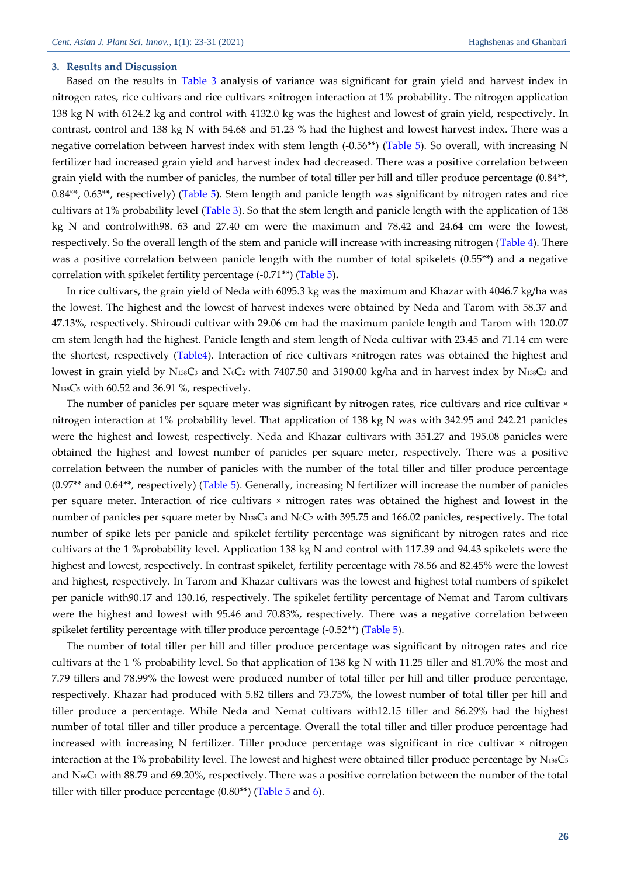#### **3. Results and Discussion**

Based on the results in [Table 3](#page-4-0) analysis of variance was significant for grain yield and harvest index in nitrogen rates, rice cultivars and rice cultivars ×nitrogen interaction at 1% probability. The nitrogen application 138 kg N with 6124.2 kg and control with 4132.0 kg was the highest and lowest of grain yield, respectively. In contrast, control and 138 kg N with 54.68 and 51.23 % had the highest and lowest harvest index. There was a negative correlation between harvest index with stem length (-0.56\*\*) [\(Table 5\)](#page-4-1). So overall, with increasing N fertilizer had increased grain yield and harvest index had decreased. There was a positive correlation between grain yield with the number of panicles, the number of total tiller per hill and tiller produce percentage (0.84\*\*, 0.84\*\*, 0.63\*\*, respectively) [\(Table 5\)](#page-4-1). Stem length and panicle length was significant by nitrogen rates and rice cultivars at 1% probability level [\(Table 3\)](#page-4-0). So that the stem length and panicle length with the application of 138 kg N and controlwith98. 63 and 27.40 cm were the maximum and 78.42 and 24.64 cm were the lowest, respectively. So the overall length of the stem and panicle will increase with increasing nitrogen [\(Table 4\)](#page-4-2). There was a positive correlation between panicle length with the number of total spikelets (0.55\*\*) and a negative correlation with spikelet fertility percentage (-0.71\*\*) [\(Table 5\)](#page-4-1)**.**

In rice cultivars, the grain yield of Neda with 6095.3 kg was the maximum and Khazar with 4046.7 kg/ha was the lowest. The highest and the lowest of harvest indexes were obtained by Neda and Tarom with 58.37 and 47.13%, respectively. Shiroudi cultivar with 29.06 cm had the maximum panicle length and Tarom with 120.07 cm stem length had the highest. Panicle length and stem length of Neda cultivar with 23.45 and 71.14 cm were the shortest, respectively [\(Table4\)](#page-4-2). Interaction of rice cultivars ×nitrogen rates was obtained the highest and lowest in grain yield by N138C3 and N<sub>0</sub>C<sub>2</sub> with 7407.50 and 3190.00 kg/ha and in harvest index by N138C3 and N138C<sup>5</sup> with 60.52 and 36.91 %, respectively.

The number of panicles per square meter was significant by nitrogen rates, rice cultivars and rice cultivar × nitrogen interaction at 1% probability level. That application of 138 kg N was with 342.95 and 242.21 panicles were the highest and lowest, respectively. Neda and Khazar cultivars with 351.27 and 195.08 panicles were obtained the highest and lowest number of panicles per square meter, respectively. There was a positive correlation between the number of panicles with the number of the total tiller and tiller produce percentage (0.97\*\* and 0.64\*\*, respectively) [\(Table 5\)](#page-4-1). Generally, increasing N fertilizer will increase the number of panicles per square meter. Interaction of rice cultivars × nitrogen rates was obtained the highest and lowest in the number of panicles per square meter by N138C3 and NoC2 with 395.75 and 166.02 panicles, respectively. The total number of spike lets per panicle and spikelet fertility percentage was significant by nitrogen rates and rice cultivars at the 1 %probability level. Application 138 kg N and control with 117.39 and 94.43 spikelets were the highest and lowest, respectively. In contrast spikelet, fertility percentage with 78.56 and 82.45% were the lowest and highest, respectively. In Tarom and Khazar cultivars was the lowest and highest total numbers of spikelet per panicle with90.17 and 130.16, respectively. The spikelet fertility percentage of Nemat and Tarom cultivars were the highest and lowest with 95.46 and 70.83%, respectively. There was a negative correlation between spikelet fertility percentage with tiller produce percentage (-0.52\*\*) [\(Table 5\)](#page-4-1).

The number of total tiller per hill and tiller produce percentage was significant by nitrogen rates and rice cultivars at the 1 % probability level. So that application of 138 kg N with 11.25 tiller and 81.70% the most and 7.79 tillers and 78.99% the lowest were produced number of total tiller per hill and tiller produce percentage, respectively. Khazar had produced with 5.82 tillers and 73.75%, the lowest number of total tiller per hill and tiller produce a percentage. While Neda and Nemat cultivars with12.15 tiller and 86.29% had the highest number of total tiller and tiller produce a percentage. Overall the total tiller and tiller produce percentage had increased with increasing N fertilizer. Tiller produce percentage was significant in rice cultivar × nitrogen interaction at the 1% probability level. The lowest and highest were obtained tiller produce percentage by  $N_{138}C_5$ and  $N_{69}C_1$  with 88.79 and 69.20%, respectively. There was a positive correlation between the number of the total tiller with tiller produce percentage  $(0.80^{**})$  [\(Table 5](#page-4-1) an[d 6\)](#page-5-0).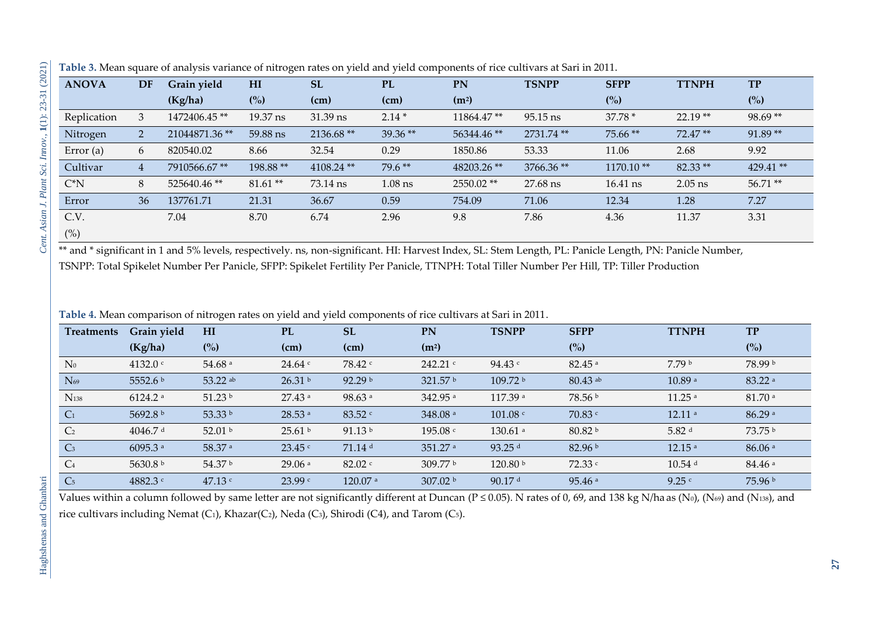| <b>ANOVA</b> | <b>DF</b>                 | Grain yield   | H <sub>I</sub> | <b>SL</b>    | <b>PL</b> | PN                | <b>TSNPP</b> | <b>SFPP</b> | <b>TTNPH</b> | <b>TP</b>  |
|--------------|---------------------------|---------------|----------------|--------------|-----------|-------------------|--------------|-------------|--------------|------------|
|              |                           | (Kg/ha)       | $\binom{0}{0}$ | (cm)         | (cm)      | (m <sup>2</sup> ) |              | (%)         |              | (%)        |
| Replication  | 3                         | 1472406.45**  | 19.37 ns       | 31.39 ns     | $2.14*$   | 11864.47**        | $95.15$ ns   | $37.78*$    | $22.19**$    | $98.69**$  |
| Nitrogen     | $\mathbf{2}^{\mathsf{I}}$ | 21044871.36** | 59.88 ns       | 2136.68**    | 39.36**   | 56344.46**        | 2731.74 **   | $75.66**$   | $72.47**$    | $91.89**$  |
| Error $(a)$  | 6                         | 820540.02     | 8.66           | 32.54        | 0.29      | 1850.86           | 53.33        | 11.06       | 2.68         | 9.92       |
| Cultivar     | $\overline{4}$            | 7910566.67**  | 198.88**       | $4108.24$ ** | $79.6**$  | 48203.26**        | 3766.36**    | $1170.10**$ | $82.33**$    | $429.41**$ |
| $C^*N$       | 8                         | 525640.46**   | $81.61**$      | 73.14 ns     | $1.08$ ns | 2550.02**         | 27.68 ns     | 16.41 ns    | $2.05$ ns    | $56.71**$  |
| Error        | 36                        | 137761.71     | 21.31          | 36.67        | 0.59      | 754.09            | 71.06        | 12.34       | 1.28         | 7.27       |
| C.V.         |                           | 7.04          | 8.70           | 6.74         | 2.96      | 9.8               | 7.86         | 4.36        | 11.37        | 3.31       |
| (%)          |                           |               |                |              |           |                   |              |             |              |            |

**Table 3.** Mean square of analysis variance of nitrogen rates on yield and yield components of rice cultivars at Sari in 2011.

\*\* and \* significant in 1 and 5% levels, respectively. ns, non-significant. HI: Harvest Index, SL: Stem Length, PL: Panicle Length, PN: Panicle Number, TSNPP: Total Spikelet Number Per Panicle, SFPP: Spikelet Fertility Per Panicle, TTNPH: Total Tiller Number Per Hill, TP: Tiller Production

**Table 4.** Mean comparison of nitrogen rates on yield and yield components of rice cultivars at Sari in 2011.

<span id="page-4-0"></span>

| Treatments       | Grain yield           | HI                   | <b>PL</b>            | <b>SL</b>             | PN                  | <b>TSNPP</b>         | <b>SFPP</b>          | <b>TTNPH</b>         | <b>TP</b>          |
|------------------|-----------------------|----------------------|----------------------|-----------------------|---------------------|----------------------|----------------------|----------------------|--------------------|
|                  | (Kg/ha)               | $\binom{0}{0}$       | (cm)                 | (cm)                  | (m <sup>2</sup> )   |                      | (%)                  |                      | (%)                |
| $N_0$            | 4132.0 $\degree$      | $54.68$ <sup>a</sup> | 24.64 c              | 78.42 c               | 242.21 c            | 94.43c               | $82.45$ <sup>a</sup> | 7.79 b               | 78.99 b            |
| $N_{69}$         | 5552.6 b              | $53.22$ ab           | 26.31 <sup>b</sup>   | 92.29 <sup>b</sup>    | 321.57 $b$          | 109.72 b             | $80.43$ ab           | 10.89a               | 83.22 <sup>a</sup> |
| N <sub>138</sub> | $6124.2$ <sup>a</sup> | 51.23 $b$            | $27.43$ <sup>a</sup> | $98.63$ <sup>a</sup>  | 342.95 a            | 117.39 a             | 78.56 b              | $11.25$ <sup>a</sup> | 81.70a             |
| C <sub>1</sub>   | 5692.8 b              | 53.33 b              | 28.53 a              | 83.52 c               | 348.08 a            | 101.08               | 70.83 c              | 12.11a               | 86.29a             |
| C <sub>2</sub>   | $4046.7$ d            | 52.01 $\frac{b}{2}$  | 25.61 <sup>b</sup>   | 91.13 <sup>b</sup>    | 195.08c             | $130.61$ a           | 80.82 <sup>b</sup>   | 5.82 $d$             | 73.75 <sup>b</sup> |
| C <sub>3</sub>   | 6095.3 a              | 58.37 a              | 23.45 c              | $71.14$ d             | 351.27 a            | $93.25$ <sup>d</sup> | 82.96 b              | 12.15a               | 86.06a             |
| C <sub>4</sub>   | 5630.8 b              | 54.37 b              | 29.06a               | $82.02$ c             | 309.77 b            | 120.80 b             | 72.33 c              | $10.54$ <sup>d</sup> | 84.46a             |
| C <sub>5</sub>   | 4882.3 c              | 47.13 $c$            | 23.99c               | $120.07$ <sup>a</sup> | 307.02 <sup>b</sup> | 90.17 $d$            | 95.46a               | 9.25c                | 75.96 <sup>b</sup> |

<span id="page-4-2"></span><span id="page-4-1"></span>Values within a column followed by same letter are not significantly different at Duncan ( $P \le 0.05$ ). N rates of 0, 69, and 138 kg N/ha as (N<sub>0</sub>), (N<sub>69</sub>) and (N<sub>138</sub>), and rice cultivars including Nemat (C1), Khazar(C2), Neda (C3), Shirodi (C4), and Tarom (C5).

Haghshenas and Ghanbari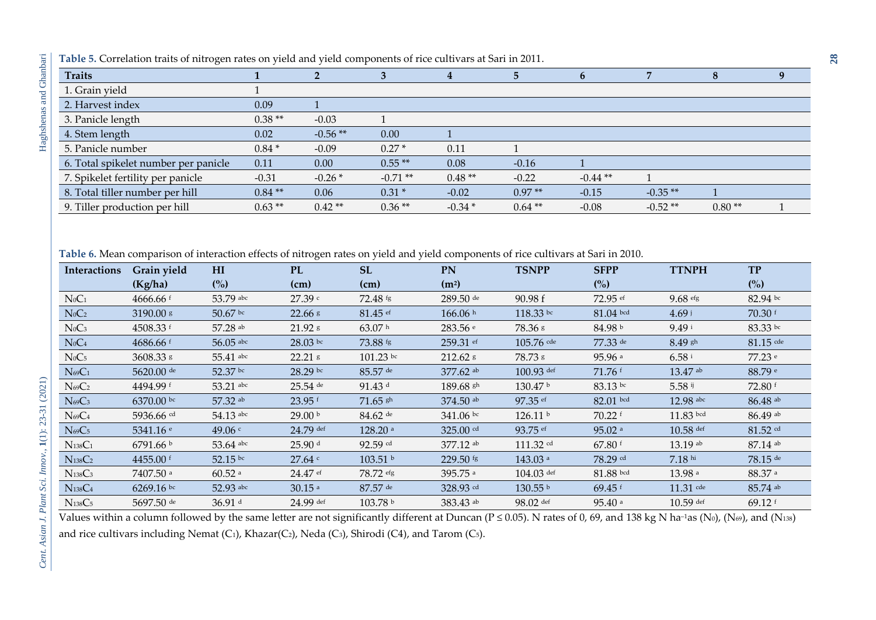| <b>Traits</b>                        |          |           |           |          | 5        |            |           | $\Omega$ |  |
|--------------------------------------|----------|-----------|-----------|----------|----------|------------|-----------|----------|--|
| 1. Grain yield                       |          |           |           |          |          |            |           |          |  |
| 2. Harvest index                     | 0.09     |           |           |          |          |            |           |          |  |
| 3. Panicle length                    | $0.38**$ | $-0.03$   |           |          |          |            |           |          |  |
| 4. Stem length                       | 0.02     | $-0.56**$ | 0.00      |          |          |            |           |          |  |
| 5. Panicle number                    | $0.84*$  | $-0.09$   | $0.27*$   | 0.11     |          |            |           |          |  |
| 6. Total spikelet number per panicle | 0.11     | 0.00      | $0.55**$  | 0.08     | $-0.16$  |            |           |          |  |
| 7. Spikelet fertility per panicle    | $-0.31$  | $-0.26*$  | $-0.71**$ | $0.48**$ | $-0.22$  | $-0.44$ ** |           |          |  |
| 8. Total tiller number per hill      | $0.84**$ | 0.06      | $0.31*$   | $-0.02$  | $0.97**$ | $-0.15$    | $-0.35**$ |          |  |
| 9. Tiller production per hill        | $0.63**$ | $0.42**$  | $0.36**$  | $-0.34*$ | $0.64**$ | $-0.08$    | $-0.52**$ | $0.80**$ |  |

**Table 6.** Mean comparison of interaction effects of nitrogen rates on yield and yield components of rice cultivars at Sari in 2010.

| <b>Interactions</b>             | Grain yield            | HI                   | <b>PL</b>            | <b>SL</b>             | <b>PN</b>              | <b>TSNPP</b>          | <b>SFPP</b>          | <b>TTNPH</b>         | <b>TP</b>             |
|---------------------------------|------------------------|----------------------|----------------------|-----------------------|------------------------|-----------------------|----------------------|----------------------|-----------------------|
|                                 | (Kg/ha)                | (%)                  | (cm)                 | (cm)                  | (m <sup>2</sup> )      |                       | $\binom{0}{0}$       |                      | (%)                   |
| $N_0C_1$                        | $4666.66$ f            | 53.79 abc            | 27.39 c              | $72.48$ fg            | $289.50$ <sup>de</sup> | 90.98 f               | $72.95$ ef           | $9.68$ efg           | $82.94 \text{ bc}$    |
| $N_0C_2$                        | 3190.00 s              | 50.67 bc             | $22.66$ $\rm{s}$     | $81.45$ ef            | 166.06h                | $118.33$ bc           | $81.04$ bcd          | 4.69 <sup>1</sup>    | $70.30$ f             |
| $N_0C_3$                        | 4508.33 $f$            | 57.28 ab             | 21.92 s              | 63.07 h               | 283.56 e               | 78.36 s               | 84.98 b              | 9.49 i               | $83.33$ bc            |
| $N_0C_4$                        | $4686.66$ <sup>f</sup> | $56.05$ abc          | 28.03 bc             | 73.88 fg              | 259.31 ef              | $105.76$ cde          | 77.33 de             | 8.49 gh              | $81.15$ cde           |
| $N_0C_5$                        | 3608.33 s              | 55.41 abc            | 22.21 \$             | $101.23$ bc           | 212.62 s               | 78.73 s               | 95.96 a              | 6.58 i               | 77.23 e               |
| $N_{69}C_1$                     | 5620.00 de             | 52.37 bc             | 28.29 bc             | $85.57$ de            | 377.62 ab              | $100.93$ def          | 71.76 f              | $13.47$ ab           | 88.79 e               |
| $N_{69}C_2$                     | 4494.99 f              | 53.21 abc            | $25.54$ de           | $91.43$ d             | $189.68$ sh            | 130.47 <sup>b</sup>   | $83.13 \text{ bc}$   | 5.58 $ij$            | $72.80$ f             |
| $N_{69}C_3$                     | 6370.00 bc             | 57.32 ab             | 23.95 f              | $71.65$ sh            | 374.50 ab              | 97.35 ef              | $82.01$ bcd          | 12.98 abc            | $86.48$ <sup>ab</sup> |
| $N_{69}C_4$                     | 5936.66 cd             | 54.13 abc            | 29.00 <sup>b</sup>   | $84.62$ de            | $341.06$ bc            | 126.11 <sup>b</sup>   | $70.22$ f            | $11.83$ bcd          | $86.49$ ab            |
| $N_{69}C_5$                     | 5341.16 $e$            | 49.06 $\degree$      | 24.79 def            | $128.20$ <sup>a</sup> | 325.00 cd              | $93.75$ ef            | $95.02$ a            | $10.58$ def          | $81.52$ cd            |
| $N_{138}C_1$                    | 6791.66 b              | 53.64 abc            | 25.90 d              | $92.59$ cd            | 377.12 ab              | 111.32 cd             | 67.80 f              | 13.19 ab             | $87.14$ ab            |
| $N_{138}C_2$                    | 4455.00 $f$            | 52.15 bc             | $27.64$ c            | 103.51 b              | 229.50 fg              | $143.03$ <sup>a</sup> | 78.29 cd             | $7.18$ hi            | $78.15$ de            |
| N <sub>138</sub> C <sub>3</sub> | 7407.50 a              | $60.52$ <sup>a</sup> | $24.47$ ef           | 78.72 efg             | 395.75 a               | $104.03$ def          | $81.88$ bcd          | $13.98$ <sup>a</sup> | 88.37 <sup>a</sup>    |
| $N_{138}C_4$                    | $6269.16 \text{ pc}$   | 52.93 abc            | $30.15$ <sup>a</sup> | $87.57$ de            | 328.93 cd              | 130.55 b              | 69.45 $f$            | $11.31$ cde          | $85.74$ ab            |
| $N_{138}C_5$                    | 5697.50 $de$           | 36.91 $d$            | 24.99 def            | 103.78 b              | 383.43 ab              | $98.02$ def           | $95.40$ <sup>a</sup> | $10.59$ def          | 69.12 $f$             |

<span id="page-5-0"></span>Values within a column followed by the same letter are not significantly different at Duncan ( $P \le 0.05$ ). N rates of 0, 69, and 138 kg N ha<sup>-1</sup>as (N<sub>0</sub>), (N<sub>69</sub>), and (N<sub>138</sub>) and rice cultivars including Nemat (C1), Khazar(C2), Neda (C3), Shirodi (C4), and Tarom (C5).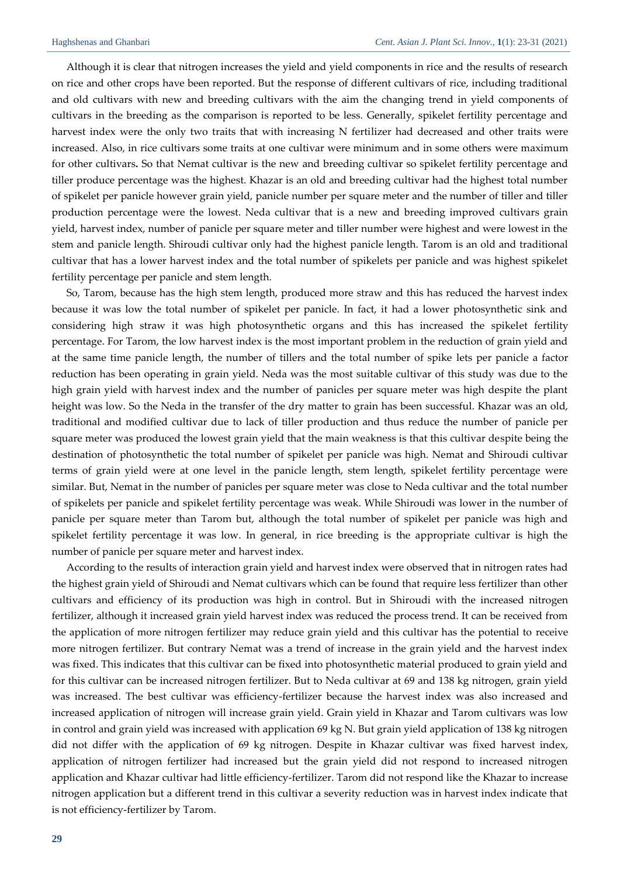j

Although it is clear that nitrogen increases the yield and yield components in rice and the results of research on rice and other crops have been reported. But the response of different cultivars of rice, including traditional and old cultivars with new and breeding cultivars with the aim the changing trend in yield components of cultivars in the breeding as the comparison is reported to be less. Generally, spikelet fertility percentage and harvest index were the only two traits that with increasing N fertilizer had decreased and other traits were increased. Also, in rice cultivars some traits at one cultivar were minimum and in some others were maximum for other cultivars**.** So that Nemat cultivar is the new and breeding cultivar so spikelet fertility percentage and tiller produce percentage was the highest. Khazar is an old and breeding cultivar had the highest total number of spikelet per panicle however grain yield, panicle number per square meter and the number of tiller and tiller production percentage were the lowest. Neda cultivar that is a new and breeding improved cultivars grain yield, harvest index, number of panicle per square meter and tiller number were highest and were lowest in the stem and panicle length. Shiroudi cultivar only had the highest panicle length. Tarom is an old and traditional cultivar that has a lower harvest index and the total number of spikelets per panicle and was highest spikelet fertility percentage per panicle and stem length.

So, Tarom, because has the high stem length, produced more straw and this has reduced the harvest index because it was low the total number of spikelet per panicle. In fact, it had a lower photosynthetic sink and considering high straw it was high photosynthetic organs and this has increased the spikelet fertility percentage. For Tarom, the low harvest index is the most important problem in the reduction of grain yield and at the same time panicle length, the number of tillers and the total number of spike lets per panicle a factor reduction has been operating in grain yield. Neda was the most suitable cultivar of this study was due to the high grain yield with harvest index and the number of panicles per square meter was high despite the plant height was low. So the Neda in the transfer of the dry matter to grain has been successful. Khazar was an old, traditional and modified cultivar due to lack of tiller production and thus reduce the number of panicle per square meter was produced the lowest grain yield that the main weakness is that this cultivar despite being the destination of photosynthetic the total number of spikelet per panicle was high. Nemat and Shiroudi cultivar terms of grain yield were at one level in the panicle length, stem length, spikelet fertility percentage were similar. But, Nemat in the number of panicles per square meter was close to Neda cultivar and the total number of spikelets per panicle and spikelet fertility percentage was weak. While Shiroudi was lower in the number of panicle per square meter than Tarom but, although the total number of spikelet per panicle was high and spikelet fertility percentage it was low. In general, in rice breeding is the appropriate cultivar is high the number of panicle per square meter and harvest index.

According to the results of interaction grain yield and harvest index were observed that in nitrogen rates had the highest grain yield of Shiroudi and Nemat cultivars which can be found that require less fertilizer than other cultivars and efficiency of its production was high in control. But in Shiroudi with the increased nitrogen fertilizer, although it increased grain yield harvest index was reduced the process trend. It can be received from the application of more nitrogen fertilizer may reduce grain yield and this cultivar has the potential to receive more nitrogen fertilizer. But contrary Nemat was a trend of increase in the grain yield and the harvest index was fixed. This indicates that this cultivar can be fixed into photosynthetic material produced to grain yield and for this cultivar can be increased nitrogen fertilizer. But to Neda cultivar at 69 and 138 kg nitrogen, grain yield was increased. The best cultivar was efficiency-fertilizer because the harvest index was also increased and increased application of nitrogen will increase grain yield. Grain yield in Khazar and Tarom cultivars was low in control and grain yield was increased with application 69 kg N. But grain yield application of 138 kg nitrogen did not differ with the application of 69 kg nitrogen. Despite in Khazar cultivar was fixed harvest index, application of nitrogen fertilizer had increased but the grain yield did not respond to increased nitrogen application and Khazar cultivar had little efficiency-fertilizer. Tarom did not respond like the Khazar to increase nitrogen application but a different trend in this cultivar a severity reduction was in harvest index indicate that is not efficiency-fertilizer by Tarom.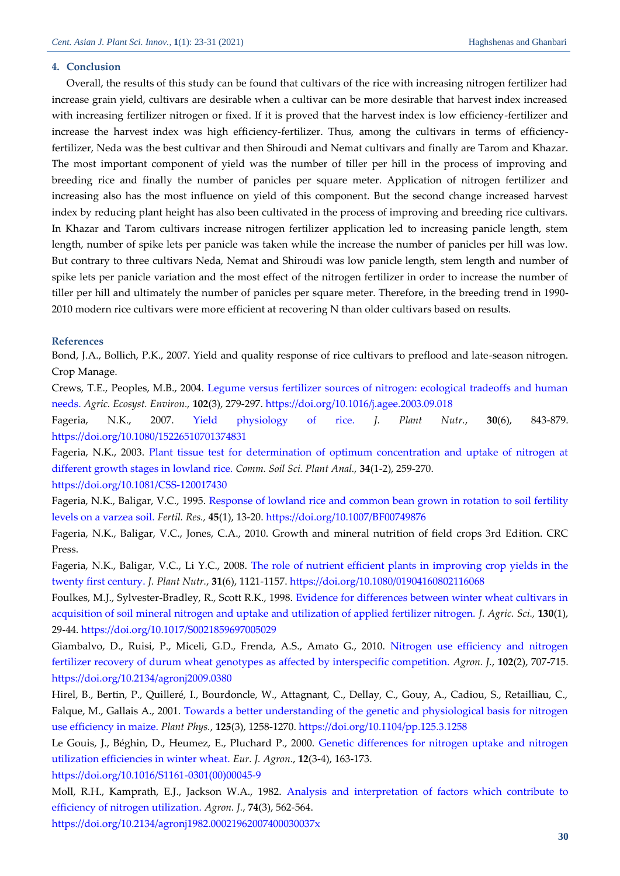#### **4. Conclusion**

Overall, the results of this study can be found that cultivars of the rice with increasing nitrogen fertilizer had increase grain yield, cultivars are desirable when a cultivar can be more desirable that harvest index increased with increasing fertilizer nitrogen or fixed. If it is proved that the harvest index is low efficiency-fertilizer and increase the harvest index was high efficiency-fertilizer. Thus, among the cultivars in terms of efficiencyfertilizer, Neda was the best cultivar and then Shiroudi and Nemat cultivars and finally are Tarom and Khazar. The most important component of yield was the number of tiller per hill in the process of improving and breeding rice and finally the number of panicles per square meter. Application of nitrogen fertilizer and increasing also has the most influence on yield of this component. But the second change increased harvest index by reducing plant height has also been cultivated in the process of improving and breeding rice cultivars. In Khazar and Tarom cultivars increase nitrogen fertilizer application led to increasing panicle length, stem length, number of spike lets per panicle was taken while the increase the number of panicles per hill was low. But contrary to three cultivars Neda, Nemat and Shiroudi was low panicle length, stem length and number of spike lets per panicle variation and the most effect of the nitrogen fertilizer in order to increase the number of tiller per hill and ultimately the number of panicles per square meter. Therefore, in the breeding trend in 1990- 2010 modern rice cultivars were more efficient at recovering N than older cultivars based on results.

#### **References**

<span id="page-7-6"></span>Bond, J.A., Bollich, P.K., 2007. Yield and quality response of rice cultivars to preflood and late-season nitrogen. Crop Manage.

<span id="page-7-3"></span>Crews, T.E., Peoples, M.B., 2004. [Legume versus fertilizer sources of nitrogen: ecological tradeoffs and human](https://srv2.freepaper.me/n/uKa6uFmR9CP6YGnEWA7nKg/PDF/15/15a560f7b357d3eea860f0fd94b974c6.pdf)  [needs.](https://srv2.freepaper.me/n/uKa6uFmR9CP6YGnEWA7nKg/PDF/15/15a560f7b357d3eea860f0fd94b974c6.pdf) *Agric. Ecosyst. Environ.,* **102**(3), 279-297.<https://doi.org/10.1016/j.agee.2003.09.018>

<span id="page-7-1"></span>Fageria, N.K., 2007. [Yield physiology of rice.](https://srv2.freepaper.me/n/Ju69ftJ3DpNwPxqHaV5b0A/PDF/f1/f1726a279858773942d301169e00177b.pdf) *J. Plant Nutr.*, **30**(6), 843-879. <https://doi.org/10.1080/15226510701374831>

<span id="page-7-0"></span>Fageria, N.K., 2003. [Plant tissue test for determination of optimum concentration and uptake of nitrogen at](https://freepaper.me/d/PDF/32/329e74834d9ca509adbd41f6d3cf12c9.pdf?hash=wbkjGjQH0rS4OIqqDk-OKw&doi=10.1081/CSS-120017430&title=&save=1%20%20%20%20%20%20%20%20%20%20%20%20%20%20%20%20style=)  [different growth stages in lowland rice.](https://freepaper.me/d/PDF/32/329e74834d9ca509adbd41f6d3cf12c9.pdf?hash=wbkjGjQH0rS4OIqqDk-OKw&doi=10.1081/CSS-120017430&title=&save=1%20%20%20%20%20%20%20%20%20%20%20%20%20%20%20%20style=) *Comm. Soil Sci. Plant Anal.,* **34**(1-2), 259-270.

#### <https://doi.org/10.1081/CSS-120017430>

<span id="page-7-4"></span>Fageria, N.K., Baligar, V.C., 1995. [Response of lowland rice and common bean grown in rotation to soil fertility](https://freepaper.me/d/PDF/ad/ad3d07d9044bceaace4d69697f8821bf.pdf?hash=31ykjC5tHo3SY2vI1iZZsQ&doi=10.1007/BF00749876&title=&save=1%20%20%20%20%20%20%20%20%20%20%20%20%20%20%20%20style=)  [levels on a varzea soil.](https://freepaper.me/d/PDF/ad/ad3d07d9044bceaace4d69697f8821bf.pdf?hash=31ykjC5tHo3SY2vI1iZZsQ&doi=10.1007/BF00749876&title=&save=1%20%20%20%20%20%20%20%20%20%20%20%20%20%20%20%20style=) *Fertil. Res.,* **45**(1), 13-20.<https://doi.org/10.1007/BF00749876>

<span id="page-7-2"></span>Fageria, N.K., Baligar, V.C., Jones, C.A., 2010. Growth and mineral nutrition of field crops 3rd Edition. CRC Press.

<span id="page-7-8"></span>Fageria, N.K., Baligar, V.C., Li Y.C., 2008. [The role of nutrient efficient plants in improving crop yields in the](https://freepaper.me/d/PDF/2e/2e936e96fb21ed4ef281d74d9c566e88.pdf?hash=sV_knDnmzQAVTOA5djVVTw&doi=10.1080/01904160802116068&title=&save=1%20%20%20%20%20%20%20%20%20%20%20%20%20%20%20%20style=)  [twenty first century.](https://freepaper.me/d/PDF/2e/2e936e96fb21ed4ef281d74d9c566e88.pdf?hash=sV_knDnmzQAVTOA5djVVTw&doi=10.1080/01904160802116068&title=&save=1%20%20%20%20%20%20%20%20%20%20%20%20%20%20%20%20style=) *J. Plant Nutr.*, **31**(6), 1121-1157.<https://doi.org/10.1080/01904160802116068>

<span id="page-7-9"></span>Foulkes, M.J., Sylvester-Bradley, R., Scott R.K., 1998. [Evidence for differences between winter wheat cultivars in](http://pdfs.semanticscholar.org/1ac2/5be0037feaca8371aacea7c00cd2fb54f7f8.pdf)  [acquisition of soil mineral nitrogen and uptake and utilization of applied fertilizer nitrogen.](http://pdfs.semanticscholar.org/1ac2/5be0037feaca8371aacea7c00cd2fb54f7f8.pdf) *J. Agric. Sci.,* **130**(1), 29-44. <https://doi.org/10.1017/S0021859697005029>

<span id="page-7-7"></span>Giambalvo, D., Ruisi, P., Miceli, G.D., Frenda, A.S., Amato G., 2010. [Nitrogen use efficiency and nitrogen](https://acsess.onlinelibrary.wiley.com/doi/pdf/10.2134/agronj2009.0380)  [fertilizer recovery of durum wheat genotypes as affected by interspecific competition.](https://acsess.onlinelibrary.wiley.com/doi/pdf/10.2134/agronj2009.0380) *Agron. J.*, **102**(2), 707-715. <https://doi.org/10.2134/agronj2009.0380>

<span id="page-7-5"></span>Hirel, B., Bertin, P., Quilleré, I., Bourdoncle, W., Attagnant, C., Dellay, C., Gouy, A., Cadiou, S., Retailliau, C., Falque, M., Gallais A., 2001. [Towards a better understanding of the genetic and physiological basis for nitrogen](http://www.plantphysiol.org/content/plantphysiol/125/3/1258.full.pdf)  [use efficiency in maize.](http://www.plantphysiol.org/content/plantphysiol/125/3/1258.full.pdf) *Plant Phys.*, **125**(3), 1258-1270. [https://doi.org/10.1104/pp.125.3.1258](https://dx.doi.org/10.1104/pp.125.3.1258)

<span id="page-7-10"></span>Le Gouis, J., Béghin, D., Heumez, E., Pluchard P., 2000. [Genetic differences for nitrogen uptake and nitrogen](https://citeseerx.ist.psu.edu/viewdoc/download?doi=10.1.1.1070.2542&rep=rep1&type=pdf)  [utilization efficiencies in winter wheat.](https://citeseerx.ist.psu.edu/viewdoc/download?doi=10.1.1.1070.2542&rep=rep1&type=pdf) *Eur. J. Agron.*, **12**(3-4), 163-173. [https://doi.org/10.1016/S1161-0301\(00\)00045-9](https://doi.org/10.1016/S1161-0301(00)00045-9)

Moll, R.H., Kamprath, E.J., Jackson W.A., 1982. [Analysis and interpretation of factors which contribute to](https://freepaper.me/d/PDF/ea/ea375da63941d4dfa632cfc19a50904d.pdf?hash=UUULzcvVuZPycRcYK8c1lQ&doi=10.2134/agronj1982.00021962007400030037x&title=&save=1%20%20%20%20%20%20%20%20%20%20%20%20%20%20%20%20style=)  [efficiency of nitrogen utilization.](https://freepaper.me/d/PDF/ea/ea375da63941d4dfa632cfc19a50904d.pdf?hash=UUULzcvVuZPycRcYK8c1lQ&doi=10.2134/agronj1982.00021962007400030037x&title=&save=1%20%20%20%20%20%20%20%20%20%20%20%20%20%20%20%20style=) *Agron. J.*, **74**(3), 562-564.

<https://doi.org/10.2134/agronj1982.00021962007400030037x>